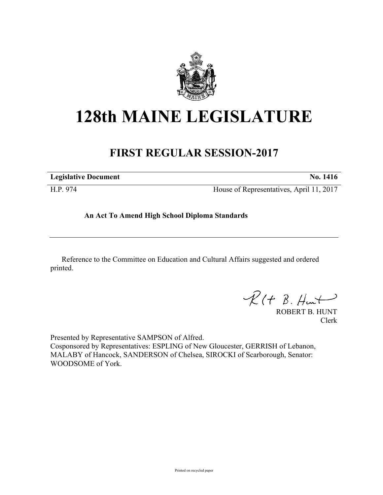

## **128th MAINE LEGISLATURE**

## **FIRST REGULAR SESSION-2017**

| <b>Legislative Document</b> | No. 1416                                 |
|-----------------------------|------------------------------------------|
| H.P. 974                    | House of Representatives, April 11, 2017 |

**An Act To Amend High School Diploma Standards**

Reference to the Committee on Education and Cultural Affairs suggested and ordered printed.

 $R(H B. H<sub>ur</sub>)$ 

ROBERT B. HUNT Clerk

Presented by Representative SAMPSON of Alfred. Cosponsored by Representatives: ESPLING of New Gloucester, GERRISH of Lebanon, MALABY of Hancock, SANDERSON of Chelsea, SIROCKI of Scarborough, Senator: WOODSOME of York.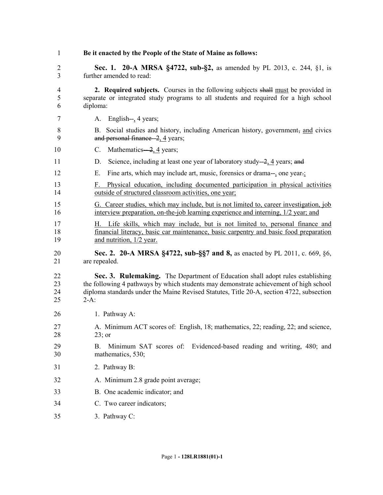| 1                        | Be it enacted by the People of the State of Maine as follows:                                                                                                                                                                                                                  |
|--------------------------|--------------------------------------------------------------------------------------------------------------------------------------------------------------------------------------------------------------------------------------------------------------------------------|
| $\overline{2}$<br>3      | Sec. 1. 20-A MRSA §4722, sub-§2, as amended by PL 2013, c. 244, §1, is<br>further amended to read:                                                                                                                                                                             |
| $\overline{4}$<br>5<br>6 | 2. Required subjects. Courses in the following subjects shall must be provided in<br>separate or integrated study programs to all students and required for a high school<br>diploma:                                                                                          |
| 7                        | A. English-, 4 years;                                                                                                                                                                                                                                                          |
| 8<br>9                   | Social studies and history, including American history, government, and civics<br><b>B</b> .<br>and personal finance-2, 4 years;                                                                                                                                               |
| 10                       | Mathematics-2, 4 years;<br>C.                                                                                                                                                                                                                                                  |
| 11                       | Science, including at least one year of laboratory study—2, $\frac{4}{3}$ years; and<br>D.                                                                                                                                                                                     |
| 12                       | Fine arts, which may include art, music, forensics or drama-, one year.;<br>Е.                                                                                                                                                                                                 |
| 13<br>14                 | Physical education, including documented participation in physical activities<br>F.<br>outside of structured classroom activities, one year;                                                                                                                                   |
| 15<br>16                 | G. Career studies, which may include, but is not limited to, career investigation, job<br>interview preparation, on-the-job learning experience and interning, 1/2 year; and                                                                                                   |
| 17<br>18<br>19           | H. Life skills, which may include, but is not limited to, personal finance and<br><u>financial literacy, basic car maintenance, basic carpentry and basic food preparation</u><br>and nutrition, 1/2 year.                                                                     |
| 20<br>21                 | Sec. 2. 20-A MRSA §4722, sub-§§7 and 8, as enacted by PL 2011, c. 669, §6,<br>are repealed.                                                                                                                                                                                    |
| 22<br>23<br>24<br>25     | Sec. 3. Rulemaking. The Department of Education shall adopt rules establishing<br>the following 4 pathways by which students may demonstrate achievement of high school<br>diploma standards under the Maine Revised Statutes, Title 20-A, section 4722, subsection<br>$2-A$ : |
| 26                       | 1. Pathway A:                                                                                                                                                                                                                                                                  |
| 27<br>28                 | A. Minimum ACT scores of: English, 18; mathematics, 22; reading, 22; and science,<br>$23$ ; or                                                                                                                                                                                 |
| 29<br>30                 | Minimum SAT scores of: Evidenced-based reading and writing, 480; and<br>B.<br>mathematics, 530;                                                                                                                                                                                |
| 31                       | 2. Pathway B:                                                                                                                                                                                                                                                                  |
| 32                       | A. Minimum 2.8 grade point average;                                                                                                                                                                                                                                            |
| 33                       | B. One academic indicator; and                                                                                                                                                                                                                                                 |
| 34                       | C. Two career indicators;                                                                                                                                                                                                                                                      |
| 35                       | 3. Pathway C:                                                                                                                                                                                                                                                                  |